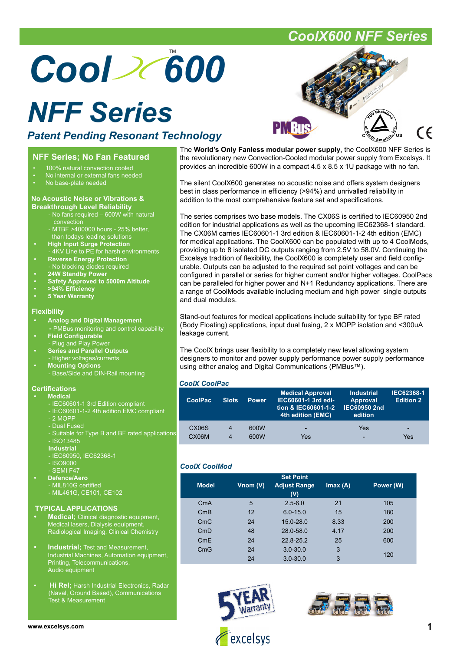# Cool 2(600

## *NFF Series*

### *Patent Pending Resonant Technology*

### **NFF Series; No Fan Featured**

- 100% natural convection cooled
- No internal or external fans needed
- No base-plate needed

#### **No Acoustic Noise or Vibrations & Breakthrough Level Reliability**

- No fans required 600W with natural **convection**
- MTBF >400000 hours 25% better, than todays leading solutions
	- **High Input Surge Protection** - 4KV Line to PE for harsh environments
	- **Reverse Energy Protection** - No blocking diodes required
	- **24W Standby Power**
	- **Safety Approved to 5000m Altitude**
	- **>94% Effi ciency**
	- **5 Year Warranty**

#### **Flexibility**

- **Analog and Digital Management**
- **-** PMBus monitoring and control capability
- **Field Configurable**
- Plug and Play Pow **• Series and Parallel Outputs**
- Higher voltages/currents **• Mounting Options**
- Base/Side and DIN-Rail mounting

### **Certifications**

- **Medical**
	- IEC60601-1 3rd Edition compliant - IEC60601-1-2 4th edition EMC compliant
- 2 MOPP
- Dual Fused
- Suitable for Type B and BF rated applications
- ISO13485
- **Industrial**
- IEC60950, IEC62368-1
- ISO9000
- SEMI F47
- **Defence/Aero**
	- MIL810G certified - MIL461G, CE101, CE102
	-

#### **TYPICAL APPLICATIONS**

- **Medical;** Clinical diagnostic equipment, Medical lasers, Dialysis equipment, Radiological Imaging, Clinical Chemistry
- **Industrial;** Test and Measurement, Industrial Machines, Automation equipment, Printing, Telecommunications, Audio equipment
- **Hi Rel;** Harsh Industrial Electronics, Radar (Naval, Ground Based), Communications Test & Measurement

The **World's Only Fanless modular power supply**, the CoolX600 NFF Series is the revolutionary new Convection-Cooled modular power supply from Excelsys. It provides an incredible 600W in a compact 4.5 x 8.5 x 1U package with no fan.

The silent CoolX600 generates no acoustic noise and offers system designers best in class performance in efficiency (>94%) and unrivalled reliability in addition to the most comprehensive feature set and specifications.

The series comprises two base models. The CX06S is certified to IEC60950 2nd edition for industrial applications as well as the upcoming IEC62368-1 standard. The CX06M carries IEC60601-1 3rd edition & IEC60601-1-2 4th edition (EMC) for medical applications. The CoolX600 can be populated with up to 4 CoolMods, providing up to 8 isolated DC outputs ranging from 2.5V to 58.0V. Continuing the Excelsys tradition of flexibility, the CoolX600 is completely user and field confiqurable. Outputs can be adjusted to the required set point voltages and can be configured in parallel or series for higher current and/or higher voltages. CoolPacs can be paralleled for higher power and N+1 Redundancy applications. There are a range of CoolMods available including medium and high power single outputs and dual modules.

Stand-out features for medical applications include suitability for type BF rated (Body Floating) applications, input dual fusing, 2 x MOPP isolation and <300uA leakage current.

The CoolX brings user flexibility to a completely new level allowing system designers to monitor and power supply performance power supply performance using either analog and Digital Communications (PMBus™).

#### *CoolX CoolPac*

| <b>CoolPac</b>     | <b>Slots</b>            | <b>Power</b> | <b>Medical Approval</b><br>IEC60601-1 3rd edi-<br>tion & IEC60601-1-2<br>4th edition (EMC) | <b>Industrial</b><br><b>Approval</b><br><b>IEC60950 2nd</b><br>edition | <b>IEC62368-1</b><br><b>Edition 2</b> |
|--------------------|-------------------------|--------------|--------------------------------------------------------------------------------------------|------------------------------------------------------------------------|---------------------------------------|
| CX <sub>06</sub> S | 4                       | 600W         | -                                                                                          | Yes                                                                    | -                                     |
| CX06M              | $\overline{\mathbf{4}}$ | 600W         | Yes                                                                                        | -                                                                      | Yes                                   |

### *CoolX CoolMod*

|              |            | <b>Set Point</b>           |         |           |
|--------------|------------|----------------------------|---------|-----------|
| <b>Model</b> | Vnom $(V)$ | <b>Adjust Range</b><br>(V) | Imax(A) | Power (W) |
| CmA          | 5          | $2.5 - 6.0$                | 21      | 105       |
| CmB          | 12         | $6.0 - 15.0$               | 15      | 180       |
| CmC          | 24         | $15.0 - 28.0$              | 8.33    | 200       |
| CmD          | 48         | 28.0-58.0                  | 4.17    | 200       |
| CmE          | 24         | $22.8 - 25.2$              | 25      | 600       |
| CmG          | 24         | $3.0 - 30.0$               | 3       |           |
|              | 24         | $3.0 - 30.0$               | 3       | 120       |





### *CoolX600 NFF Series*

(C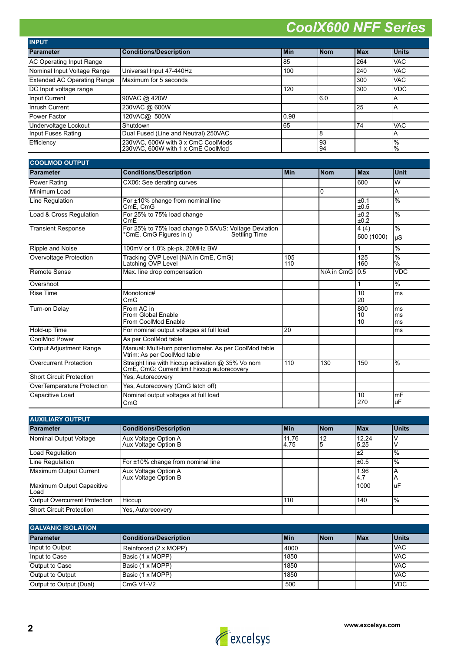| <b>INPUT</b>                       |                                                                         |            |            |             |                                  |
|------------------------------------|-------------------------------------------------------------------------|------------|------------|-------------|----------------------------------|
| <b>Parameter</b>                   | <b>Conditions/Description</b>                                           | <b>Min</b> | <b>Nom</b> | <b>IMax</b> | <b>Units</b>                     |
| AC Operating Input Range           |                                                                         | 85         |            | 264         | <b>VAC</b>                       |
| Nominal Input Voltage Range        | Universal Input 47-440Hz                                                | 100        |            | 240         | <b>VAC</b>                       |
| <b>Extended AC Operating Range</b> | Maximum for 5 seconds                                                   |            |            | 300         | <b>VAC</b>                       |
| DC Input voltage range             |                                                                         | 120        |            | 300         | <b>VDC</b>                       |
| Input Current                      | 90VAC @ 420W                                                            |            | 6.0        |             | A                                |
| Inrush Current                     | 230VAC @ 600W                                                           |            |            | 25          | ΙA                               |
| Power Factor                       | 120VAC@ 500W                                                            | 0.98       |            |             |                                  |
| Undervoltage Lockout               | Shutdown                                                                | 65         |            | 74          | <b>VAC</b>                       |
| Input Fuses Rating                 | Dual Fused (Line and Neutral) 250VAC                                    |            | 8          |             | A                                |
| Efficiency                         | 230VAC, 600W with 3 x CmC CoolMods<br>230VAC, 600W with 1 x CmE CoolMod |            | 93<br>94   |             | $\frac{10}{6}$<br>$\frac{10}{6}$ |

| <b>COOLMOD OUTPUT</b>           |                                                                                                          |            |            |                    |                     |
|---------------------------------|----------------------------------------------------------------------------------------------------------|------------|------------|--------------------|---------------------|
| <b>Parameter</b>                | <b>Conditions/Description</b>                                                                            | <b>Min</b> | <b>Nom</b> | <b>Max</b>         | <b>Unit</b>         |
| Power Rating                    | CX06: See derating curves                                                                                |            |            | 600                | lw                  |
| Minimum Load                    |                                                                                                          |            | $\Omega$   |                    | A                   |
| Line Regulation                 | For ±10% change from nominal line<br>CmE. CmG                                                            |            |            | ±0.1<br>±0.5       | $\frac{0}{6}$       |
| Load & Cross Regulation         | For 25% to 75% load change<br>CmE                                                                        |            |            | ±0.2<br>±0.2       | $\%$                |
| <b>Transient Response</b>       | For 25% to 75% load change 0.5A/uS: Voltage Deviation<br>*CmE, CmG Figures in ()<br><b>Settling Time</b> |            |            | 4(4)<br>500 (1000) | $\frac{0}{6}$<br>uS |
| Ripple and Noise                | 100mV or 1.0% pk-pk. 20MHz BW                                                                            |            |            | 1                  | $\%$                |
| Overvoltage Protection          | Tracking OVP Level (N/A in CmE, CmG)<br>Latching OVP Level                                               | 105<br>110 |            | 125<br>160         | $\%$<br>$\%$        |
| Remote Sense                    | Max. line drop compensation                                                                              |            | N/A in CmG | 0.5                | <b>VDC</b>          |
| Overshoot                       |                                                                                                          |            |            | 1                  | $\%$                |
| <b>Rise Time</b>                | Monotonic#<br>CmG                                                                                        |            |            | 10<br>20           | ms                  |
| Turn-on Delay                   | From AC in<br>From Global Enable<br>From CoolMod Enable                                                  |            |            | 800<br>10<br>10    | ms<br>ms<br>ms      |
| Hold-up Time                    | For nominal output voltages at full load                                                                 | 20         |            |                    | ms                  |
| CoolMod Power                   | As per CoolMod table                                                                                     |            |            |                    |                     |
| <b>Output Adjustment Range</b>  | Manual: Multi-turn potentiometer. As per CoolMod table<br>Vtrim: As per CoolMod table                    |            |            |                    |                     |
| <b>Overcurrent Protection</b>   | Straight line with hiccup activation @ 35% Vo nom<br>CmE, CmG: Current limit hiccup autorecovery         | 110        | 130        | 150                | $\frac{0}{0}$       |
| <b>Short Circuit Protection</b> | Yes, Autorecovery                                                                                        |            |            |                    |                     |
| OverTemperature Protection      | Yes, Autorecovery (CmG latch off)                                                                        |            |            |                    |                     |
| Capacitive Load                 | Nominal output voltages at full load<br>CmG                                                              |            |            | 10<br>270          | mF<br>uF            |

| <b>AUXILIARY OUTPUT</b>              |                                              |               |            |               |               |
|--------------------------------------|----------------------------------------------|---------------|------------|---------------|---------------|
| <b>Parameter</b>                     | <b>Conditions/Description</b>                | <b>Min</b>    | <b>Nom</b> | <b>IMax</b>   | <b>Units</b>  |
| Nominal Output Voltage               | Aux Voltage Option A<br>Aux Voltage Option B | 11.76<br>4.75 | 12<br>5    | 12.24<br>5.25 |               |
| Load Regulation                      |                                              |               |            | ±2            | $\frac{9}{6}$ |
| Line Regulation                      | For ±10% change from nominal line            |               |            | ±0.5          | $\frac{9}{6}$ |
| Maximum Output Current               | Aux Voltage Option A<br>Aux Voltage Option B |               |            | 1.96<br>4.7   | ΙA            |
| Maximum Output Capacitive<br>Load    |                                              |               |            | 1000          | luF           |
| <b>Output Overcurrent Protection</b> | Hiccup                                       | 110           |            | 140           | $\frac{1}{6}$ |
| <b>Short Circuit Protection</b>      | Yes, Autorecovery                            |               |            |               |               |

| <b>GALVANIC ISOLATION</b> |                               |       |             |             |              |
|---------------------------|-------------------------------|-------|-------------|-------------|--------------|
| <b>Parameter</b>          | <b>Conditions/Description</b> | l Min | <b>INom</b> | <b>IMax</b> | <b>Units</b> |
| Input to Output           | Reinforced (2 x MOPP)         | 4000  |             |             | <b>IVAC</b>  |
| Input to Case             | Basic (1 x MOPP)              | 1850  |             |             | <b>VAC</b>   |
| Output to Case            | Basic (1 x MOPP)              | 1850  |             |             | <b>IVAC</b>  |
| Output to Output          | Basic (1 x MOPP)              | 1850  |             |             | <b>IVAC</b>  |
| Output to Output (Dual)   | CmG V1-V2                     | 500   |             |             | <b>IVDC</b>  |

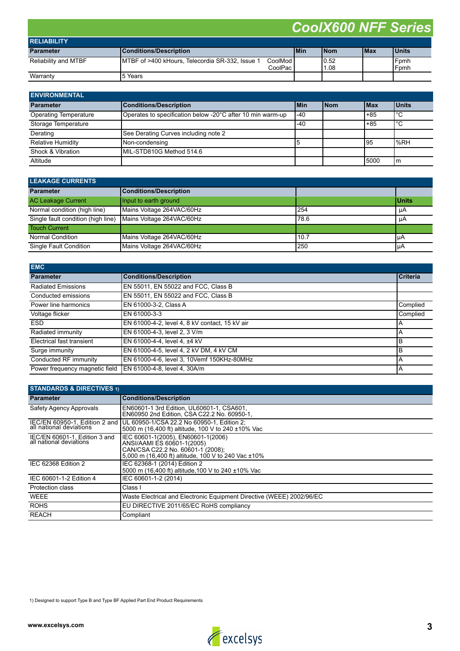| <b>RELIABILITY</b>   |                                                  |                        |            |              |             |              |
|----------------------|--------------------------------------------------|------------------------|------------|--------------|-------------|--------------|
| <b>Parameter</b>     | Conditions/Description                           |                        | <b>Min</b> | <b>INom</b>  | <b>IMax</b> | <b>Units</b> |
| Reliability and MTBF | IMTBF of >400 kHours, Telecordia SR-332, Issue 1 | CoolMod l<br>CoolPac i |            | 0.52<br>1.08 |             | Fomh<br>Fomh |
| Warranty             | 15 Years                                         |                        |            |              |             |              |

| <b>ENVIRONMENTAL</b>         |                                                            |       |            |             |              |
|------------------------------|------------------------------------------------------------|-------|------------|-------------|--------------|
| <b>Parameter</b>             | <b>Conditions/Description</b>                              | l Min | <b>Nom</b> | <b>IMax</b> | <b>Units</b> |
| <b>Operating Temperature</b> | Operates to specification below -20°C after 10 min warm-up | $-40$ |            | $+85$       | l°С          |
| Storage Temperature          |                                                            | -40   |            | $+85$       | l°С          |
| Derating                     | See Derating Curves including note 2                       |       |            |             |              |
| Relative Humidity            | Non-condensing                                             | ۱b    |            | 195         | $\%RH$       |
| Shock & Vibration            | MIL-STD810G Method 514.6                                   |       |            |             |              |
| Altitude                     |                                                            |       |            | 15000       | Im           |

| <b>LEAKAGE CURRENTS</b>            |                           |       |              |  |  |
|------------------------------------|---------------------------|-------|--------------|--|--|
| <b>Parameter</b>                   | Conditions/Description    |       |              |  |  |
| <b>AC Leakage Current</b>          | Input to earth ground     |       | <b>Units</b> |  |  |
| Normal condition (high line)       | Mains Voltage 264VAC/60Hz | 254   | μA           |  |  |
| Single fault condition (high line) | Mains Voltage 264VAC/60Hz | 178.6 | μA           |  |  |
| <b>Touch Current</b>               |                           |       |              |  |  |
| Normal Condition                   | Mains Voltage 264VAC/60Hz | 10.7  | l u A        |  |  |
| Single Fault Condition             | Mains Voltage 264VAC/60Hz | 250   | IμA          |  |  |

| <b>EMC</b>                     |                                                |                 |
|--------------------------------|------------------------------------------------|-----------------|
| <b>Parameter</b>               | <b>Conditions/Description</b>                  | <b>Criteria</b> |
| <b>Radiated Emissions</b>      | EN 55011, EN 55022 and FCC, Class B            |                 |
| Conducted emissions            | EN 55011, EN 55022 and FCC, Class B            |                 |
| Power line harmonics           | EN 61000-3-2, Class A                          | Complied        |
| Voltage flicker                | EN 61000-3-3                                   | Complied        |
| <b>ESD</b>                     | EN 61000-4-2, level 4, 8 kV contact, 15 kV air | Α               |
| Radiated immunity              | EN 61000-4-3, level 2, 3 V/m                   | Α               |
| Electrical fast transient      | IEN 61000-4-4. level 4. ±4 kV                  | B               |
| Surge immunity                 | EN 61000-4-5, level 4, 2 kV DM, 4 kV CM        | B               |
| Conducted RF immunity          | EN 61000-4-6, level 3, 10Vemf 150KHz-80MHz     | Α               |
| Power frequency magnetic field | IEN 61000-4-8. level 4, 30A/m                  | A               |

| <b>STANDARDS &amp; DIRECTIVES 1)</b>                     |                                                                                                                                                              |  |  |  |
|----------------------------------------------------------|--------------------------------------------------------------------------------------------------------------------------------------------------------------|--|--|--|
| <b>Parameter</b>                                         | <b>Conditions/Description</b>                                                                                                                                |  |  |  |
| Safety Agency Approvals                                  | EN60601-1 3rd Edition, UL60601-1, CSA601,<br>EN60950 2nd Edition. CSA C22.2 No. 60950-1.                                                                     |  |  |  |
| IEC/EN 60950-1, Edition 2 and                            | UL 60950-1/CSA 22.2 No 60950-1, Edition 2;<br>5000 m (16,400 ft) altitude, 100 V to 240 ±10% Vac                                                             |  |  |  |
| IEC/EN 60601-1, Edition 3 and<br>all national deviations | IEC 60601-1(2005), EN60601-1(2006)<br>ANSI/AAMI ES 60601-1(2005)<br>CAN/CSA C22.2 No. 60601-1 (2008);<br>5,000 m (16,400 ft) altitude, 100 V to 240 Vac ±10% |  |  |  |
| IEC 62368 Edition 2                                      | IEC 62368-1 (2014) Edition 2<br>5000 m (16.400 ft) altitude 100 V to 240 ±10% Vac                                                                            |  |  |  |
| IEC 60601-1-2 Edition 4                                  | IEC 60601-1-2 (2014)                                                                                                                                         |  |  |  |
| <b>Protection class</b>                                  | Class I                                                                                                                                                      |  |  |  |
| <b>WEEE</b>                                              | Waste Electrical and Electronic Equipment Directive (WEEE) 2002/96/EC                                                                                        |  |  |  |
| <b>ROHS</b>                                              | EU DIRECTIVE 2011/65/EC RoHS compliancy                                                                                                                      |  |  |  |
| <b>REACH</b>                                             | Compliant                                                                                                                                                    |  |  |  |

1) Designed to support Type B and Type BF Applied Part End Product Requirements

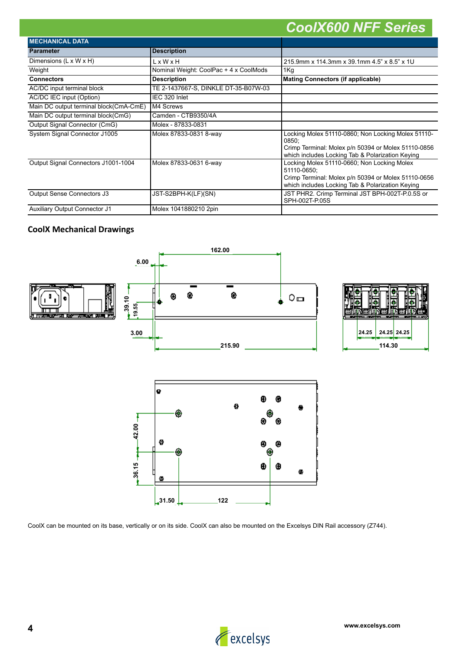| <b>MECHANICAL DATA</b>                 |                                        |                                                                                                                                                                        |
|----------------------------------------|----------------------------------------|------------------------------------------------------------------------------------------------------------------------------------------------------------------------|
| <b>Parameter</b>                       | <b>Description</b>                     |                                                                                                                                                                        |
| Dimensions (L x W x H)                 | $L \times W \times H$                  | 215.9mm x 114.3mm x 39.1mm 4.5" x 8.5" x 1U                                                                                                                            |
| Weight                                 | Nominal Weight: CoolPac + 4 x CoolMods | 1Kg                                                                                                                                                                    |
| <b>Connectors</b>                      | <b>Description</b>                     | Mating Connectors (if applicable)                                                                                                                                      |
| AC/DC input terminal block             | TE 2-1437667-S, DINKLE DT-35-B07W-03   |                                                                                                                                                                        |
| AC/DC IEC input (Option)               | IEC 320 Inlet                          |                                                                                                                                                                        |
| Main DC output terminal block(CmA-CmE) | M4 Screws                              |                                                                                                                                                                        |
| Main DC output terminal block(CmG)     | Camden - CTB9350/4A                    |                                                                                                                                                                        |
| Output Signal Connector (CmG)          | Molex - 87833-0831                     |                                                                                                                                                                        |
| System Signal Connector J1005          | Molex 87833-0831 8-way                 | Locking Molex 51110-0860; Non Locking Molex 51110-<br>0850:<br>Crimp Terminal: Molex p/n 50394 or Molex 51110-0856<br>which includes Locking Tab & Polarization Keying |
| Output Signal Connectors J1001-1004    | Molex 87833-0631 6-way                 | Locking Molex 51110-0660; Non Locking Molex<br>51110-0650:<br>Crimp Terminal: Molex p/n 50394 or Molex 51110-0656<br>which includes Locking Tab & Polarization Keying  |
| Output Sense Connectors J3             | JST-S2BPH-K(LF)(SN)                    | JST PHR2. Crimp Terminal JST BPH-002T-P.0.5S or<br>SPH-002T-P.05S                                                                                                      |
| <b>Auxiliary Output Connector J1</b>   | Molex 1041880210 2pin                  |                                                                                                                                                                        |

### **CoolX Mechanical Drawings**



CoolX can be mounted on its base, vertically or on its side. CoolX can also be mounted on the Excelsys DIN Rail accessory (Z744).

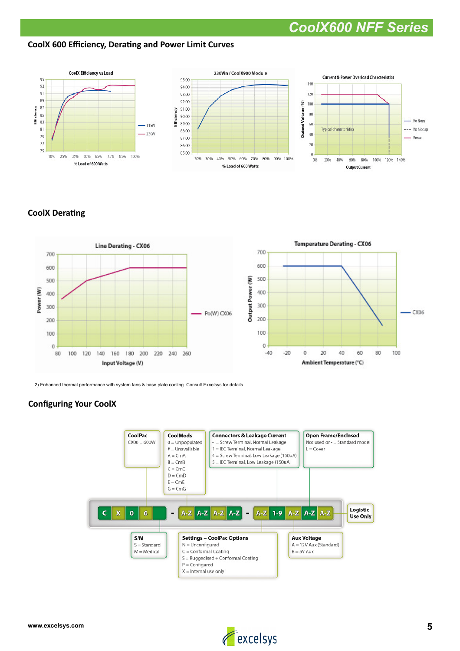### **CoolX 600 Efficiency, Derating and Power Limit Curves**



### **CoolX Derating**



2) Enhanced thermal performance with system fans & base plate cooling. Consult Excelsys for details.

### **Configuring Your CoolX**